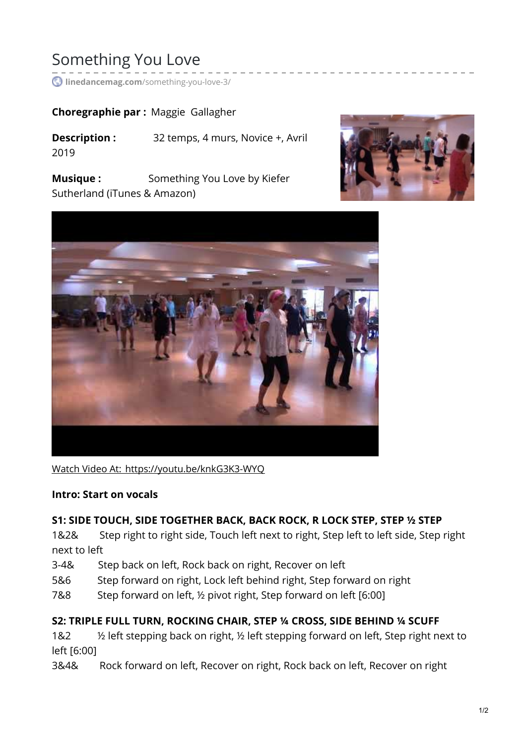# Something You Love

**linedancemag.com**[/something-you-love-3/](https://www.linedancemag.com/something-you-love-3/)

### **Choregraphie par :** Maggie Gallagher

**Description :** 32 temps, 4 murs, Novice +, Avril 2019

**Musique :** Something You Love by Kiefer Sutherland (iTunes & Amazon)





Watch Video At: <https://youtu.be/knkG3K3-WYQ>

#### **Intro: Start on vocals**

### **S1: SIDE TOUCH, SIDE TOGETHER BACK, BACK ROCK, R LOCK STEP, STEP ½ STEP**

1&2& Step right to right side, Touch left next to right, Step left to left side, Step right next to left

- 3-4& Step back on left, Rock back on right, Recover on left
- 5&6 Step forward on right, Lock left behind right, Step forward on right
- 7&8 Step forward on left, ½ pivot right, Step forward on left [6:00]

### **S2: TRIPLE FULL TURN, ROCKING CHAIR, STEP ¼ CROSS, SIDE BEHIND ¼ SCUFF**

1&2  $\frac{1}{2}$  % left stepping back on right, 1/2 left stepping forward on left, Step right next to left [6:00]

3&4& Rock forward on left, Recover on right, Rock back on left, Recover on right